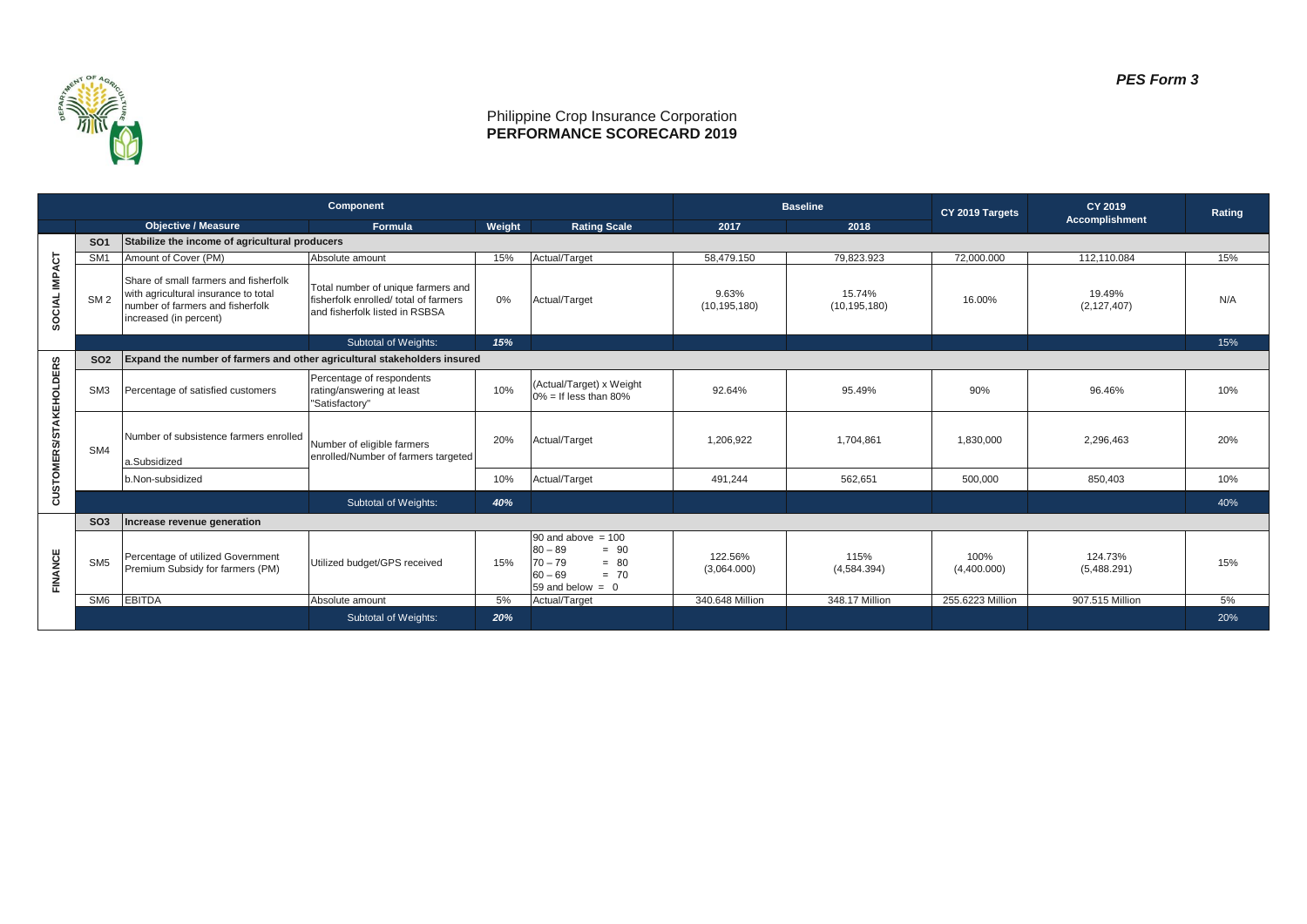

## Philippine Crop Insurance Corporation **PERFORMANCE SCORECARD 2019**

|                               | Component       |                                                                                                                                             |                                                                                                               |        |                                                                                                                 | <b>Baseline</b>         |                          | CY 2019 Targets     | CY 2019                 | Rating |
|-------------------------------|-----------------|---------------------------------------------------------------------------------------------------------------------------------------------|---------------------------------------------------------------------------------------------------------------|--------|-----------------------------------------------------------------------------------------------------------------|-------------------------|--------------------------|---------------------|-------------------------|--------|
|                               |                 | <b>Objective / Measure</b>                                                                                                                  | Formula                                                                                                       | Weight | <b>Rating Scale</b>                                                                                             | 2017                    | 2018                     |                     | Accomplishment          |        |
| SOCIAL IMPACT                 | SO <sub>1</sub> | Stabilize the income of agricultural producers                                                                                              |                                                                                                               |        |                                                                                                                 |                         |                          |                     |                         |        |
|                               | SM <sub>1</sub> | Amount of Cover (PM)                                                                                                                        | Absolute amount                                                                                               | 15%    | Actual/Target                                                                                                   | 58.479.150              | 79.823.923               | 72.000.000          | 112.110.084             | 15%    |
|                               | SM <sub>2</sub> | Share of small farmers and fisherfolk<br>with agricultural insurance to total<br>number of farmers and fisherfolk<br>increased (in percent) | Total number of unique farmers and<br>fisherfolk enrolled/ total of farmers<br>and fisherfolk listed in RSBSA | 0%     | Actual/Target                                                                                                   | 9.63%<br>(10, 195, 180) | 15.74%<br>(10, 195, 180) | 16.00%              | 19.49%<br>(2, 127, 407) | N/A    |
|                               |                 |                                                                                                                                             | Subtotal of Weights:                                                                                          | 15%    |                                                                                                                 |                         |                          |                     |                         | 15%    |
| <b>CUSTOMERS/STAKEHOLDERS</b> | <b>SO2</b>      | Expand the number of farmers and other agricultural stakeholders insured                                                                    |                                                                                                               |        |                                                                                                                 |                         |                          |                     |                         |        |
|                               | SM <sub>3</sub> | Percentage of satisfied customers                                                                                                           | Percentage of respondents<br>rating/answering at least<br>"Satisfactory"                                      | 10%    | (Actual/Target) x Weight<br>$0\% =$ If less than 80%                                                            | 92.64%                  | 95.49%                   | 90%                 | 96.46%                  | 10%    |
|                               | SM4             | Number of subsistence farmers enrolled                                                                                                      | Number of eligible farmers<br>enrolled/Number of farmers targeted                                             | 20%    | Actual/Target                                                                                                   | 1.206.922               | 1.704.861                | 1.830.000           | 2.296.463               | 20%    |
|                               |                 | a.Subsidized                                                                                                                                |                                                                                                               |        |                                                                                                                 |                         |                          |                     |                         |        |
|                               |                 | b.Non-subsidized                                                                                                                            |                                                                                                               | 10%    | Actual/Target                                                                                                   | 491,244                 | 562,651                  | 500,000             | 850,403                 | 10%    |
|                               |                 |                                                                                                                                             | Subtotal of Weights:                                                                                          | 40%    |                                                                                                                 |                         |                          |                     |                         | 40%    |
|                               | SO <sub>3</sub> | Increase revenue generation                                                                                                                 |                                                                                                               |        |                                                                                                                 |                         |                          |                     |                         |        |
| FINANCE                       | SM <sub>5</sub> | Percentage of utilized Government<br>Premium Subsidy for farmers (PM)                                                                       | Utilized budget/GPS received                                                                                  | 15%    | $90$ and above = 100<br>$80 - 89$<br>$= 90$<br>$70 - 79$<br>$= 80$<br>$60 - 69$<br>$= 70$<br>59 and below $= 0$ | 122.56%<br>(3,064,000)  | 115%<br>(4,584.394)      | 100%<br>(4,400.000) | 124.73%<br>(5,488.291)  | 15%    |
|                               | SM6             | <b>EBITDA</b>                                                                                                                               | Absolute amount                                                                                               | 5%     | Actual/Target                                                                                                   | 340,648 Million         | 348.17 Million           | 255.6223 Million    | 907.515 Million         | 5%     |
|                               |                 |                                                                                                                                             | <b>Subtotal of Weights:</b>                                                                                   | 20%    |                                                                                                                 |                         |                          |                     |                         | 20%    |